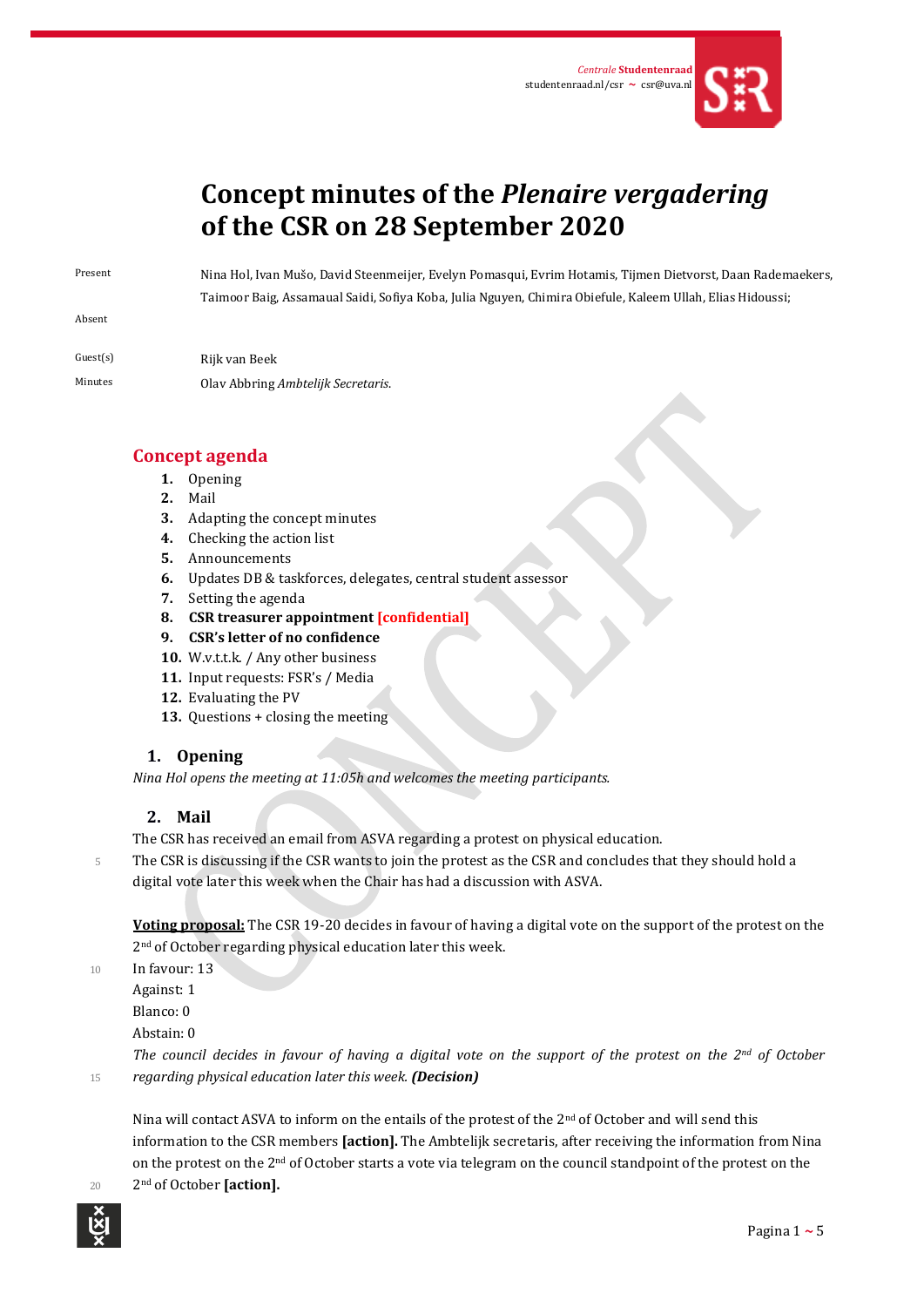

# **Concept minutes of the** *Plenaire vergadering* **of the CSR on 28 September 2020**

Absent

Present Nina Hol, Ivan Mušo, David Steenmeijer, Evelyn Pomasqui, Evrim Hotamis, Tijmen Dietvorst, Daan Rademaekers, Taimoor Baig, Assamaual Saidi, Sofiya Koba, Julia Nguyen, Chimira Obiefule, Kaleem Ullah, Elias Hidoussi;

Guest(s) Rijk van Beek Minutes Olav Abbring *Ambtelijk Secretaris*.

# **Concept agenda**

- **1.** Opening
- **2.** Mail
- **3.** Adapting the concept minutes
- **4.** Checking the action list
- **5.** Announcements
- **6.** Updates DB & taskforces, delegates, central student assessor
- **7.** Setting the agenda
- **8. CSR treasurer appointment [confidential]**
- **9. CSR's letter of no confidence**
- **10.** W.v.t.t.k. / Any other business
- **11.** Input requests: FSR's / Media
- **12.** Evaluating the PV
- **13.** Questions + closing the meeting

# **1. Opening**

*Nina Hol opens the meeting at 11:05h and welcomes the meeting participants.* 

# **2. Mail**

The CSR has received an email from ASVA regarding a protest on physical education.

5 The CSR is discussing if the CSR wants to join the protest as the CSR and concludes that they should hold a digital vote later this week when the Chair has had a discussion with ASVA.

**Voting proposal:** The CSR 19-20 decides in favour of having a digital vote on the support of the protest on the 2<sup>nd</sup> of October regarding physical education later this week.

10 In favour: 13

Against: 1

Blanco: 0

Abstain: 0

*The council decides in favour of having a digital vote on the support of the protest on the 2nd of October*  <sup>15</sup> *regarding physical education later this week. (Decision)*

Nina will contact ASVA to inform on the entails of the protest of the 2nd of October and will send this information to the CSR members **[action].** The Ambtelijk secretaris, after receiving the information from Nina on the protest on the 2nd of October starts a vote via telegram on the council standpoint of the protest on the

2nd <sup>20</sup> of October **[action].**

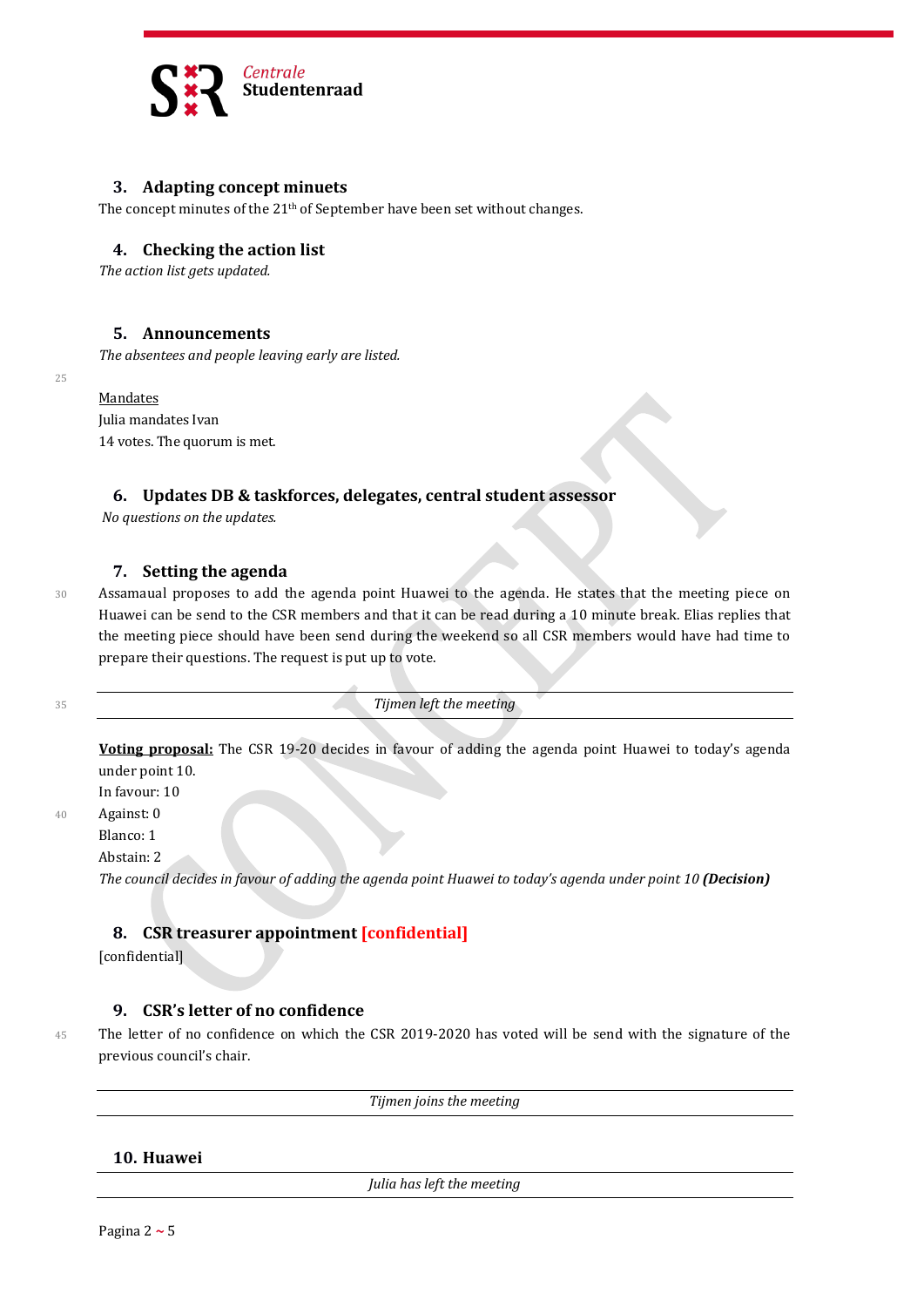

# **3. Adapting concept minuets**

The concept minutes of the  $21<sup>th</sup>$  of September have been set without changes.

#### **4. Checking the action list**

*The action list gets updated.*

## **5. Announcements**

*The absentees and people leaving early are listed.*

#### **Mandates**

25

Julia mandates Ivan 14 votes. The quorum is met.

#### **6. Updates DB & taskforces, delegates, central student assessor**

*No questions on the updates.*

#### **7. Setting the agenda**

30 Assamaual proposes to add the agenda point Huawei to the agenda. He states that the meeting piece on Huawei can be send to the CSR members and that it can be read during a 10 minute break. Elias replies that the meeting piece should have been send during the weekend so all CSR members would have had time to prepare their questions. The request is put up to vote.

<sup>35</sup> *Tijmen left the meeting*

**Voting proposal:** The CSR 19-20 decides in favour of adding the agenda point Huawei to today's agenda under point 10.

In favour: 10

40 Against: 0

Blanco: 1 Abstain: 2

*The council decides in favour of adding the agenda point Huawei to today's agenda under point 10 (Decision)*

## **8. CSR treasurer appointment [confidential]**

[confidential]

#### **9. CSR's letter of no confidence**

45 The letter of no confidence on which the CSR 2019-2020 has voted will be send with the signature of the previous council's chair.

*Tijmen joins the meeting*

**10. Huawei**

*Julia has left the meeting*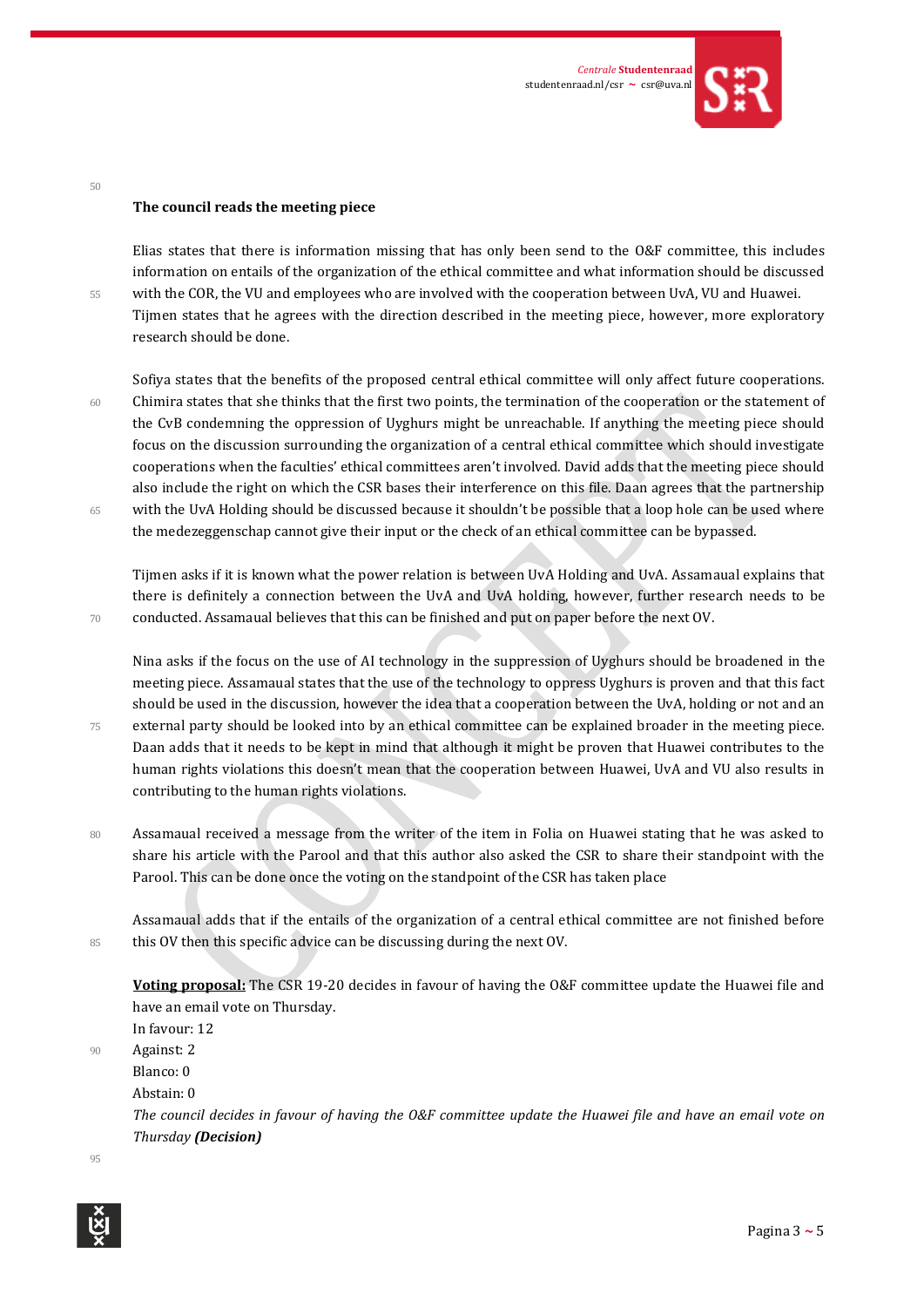

#### **The council reads the meeting piece**

50

Elias states that there is information missing that has only been send to the O&F committee, this includes information on entails of the organization of the ethical committee and what information should be discussed 55 with the COR, the VU and employees who are involved with the cooperation between UvA, VU and Huawei. Tijmen states that he agrees with the direction described in the meeting piece, however, more exploratory research should be done.

Sofiya states that the benefits of the proposed central ethical committee will only affect future cooperations. 60 Chimira states that she thinks that the first two points, the termination of the cooperation or the statement of the CvB condemning the oppression of Uyghurs might be unreachable. If anything the meeting piece should focus on the discussion surrounding the organization of a central ethical committee which should investigate cooperations when the faculties' ethical committees aren't involved. David adds that the meeting piece should also include the right on which the CSR bases their interference on this file. Daan agrees that the partnership 65 with the UvA Holding should be discussed because it shouldn't be possible that a loop hole can be used where the medezeggenschap cannot give their input or the check of an ethical committee can be bypassed.

Tijmen asks if it is known what the power relation is between UvA Holding and UvA. Assamaual explains that there is definitely a connection between the UvA and UvA holding, however, further research needs to be 70 conducted. Assamaual believes that this can be finished and put on paper before the next OV.

Nina asks if the focus on the use of AI technology in the suppression of Uyghurs should be broadened in the meeting piece. Assamaual states that the use of the technology to oppress Uyghurs is proven and that this fact should be used in the discussion, however the idea that a cooperation between the UvA, holding or not and an 75 external party should be looked into by an ethical committee can be explained broader in the meeting piece. Daan adds that it needs to be kept in mind that although it might be proven that Huawei contributes to the human rights violations this doesn't mean that the cooperation between Huawei, UvA and VU also results in contributing to the human rights violations.

80 Assamaual received a message from the writer of the item in Folia on Huawei stating that he was asked to share his article with the Parool and that this author also asked the CSR to share their standpoint with the Parool. This can be done once the voting on the standpoint of the CSR has taken place

Assamaual adds that if the entails of the organization of a central ethical committee are not finished before 85 this OV then this specific advice can be discussing during the next OV.

**Voting proposal:** The CSR 19-20 decides in favour of having the O&F committee update the Huawei file and have an email vote on Thursday.

In favour: 12

90 Against: 2

Blanco: 0

Abstain: 0

*The council decides in favour of having the O&F committee update the Huawei file and have an email vote on Thursday (Decision)*

95

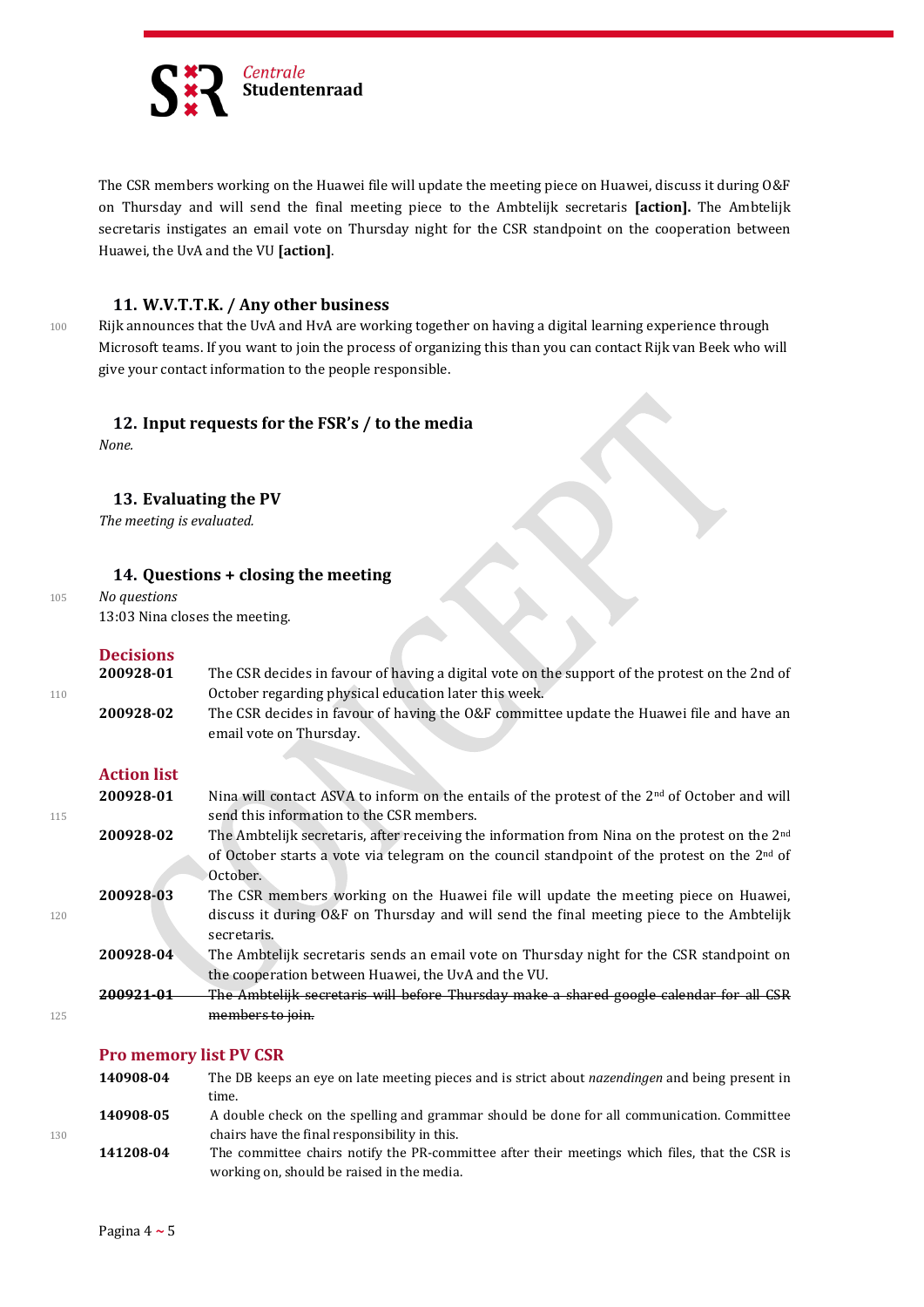

The CSR members working on the Huawei file will update the meeting piece on Huawei, discuss it during O&F on Thursday and will send the final meeting piece to the Ambtelijk secretaris **[action].** The Ambtelijk secretaris instigates an email vote on Thursday night for the CSR standpoint on the cooperation between Huawei, the UvA and the VU **[action]**.

# **11. W.V.T.T.K. / Any other business**

100 Rijk announces that the UvA and HvA are working together on having a digital learning experience through Microsoft teams. If you want to join the process of organizing this than you can contact Rijk van Beek who will give your contact information to the people responsible.

## **12. Input requests for the FSR's / to the media**

*None.*

## **13. Evaluating the PV**

*The meeting is evaluated.*

## **14. Questions + closing the meeting**

<sup>105</sup> *No questions*

13:03 Nina closes the meeting.

# **Decisions**

|     | 200928-01 | The CSR decides in favour of having a digital vote on the support of the protest on the 2nd of |
|-----|-----------|------------------------------------------------------------------------------------------------|
| 110 |           | October regarding physical education later this week.                                          |
|     | 200928-02 | The CSR decides in favour of having the O&F committee update the Huawei file and have an       |
|     |           | email vote on Thursday.                                                                        |
|     |           |                                                                                                |

# **Action list**

|     | 200928-01 | Nina will contact ASVA to inform on the entails of the protest of the $2nd$ of October and will           |
|-----|-----------|-----------------------------------------------------------------------------------------------------------|
| 115 |           | send this information to the CSR members.                                                                 |
|     | 200928-02 | The Ambtelijk secretaris, after receiving the information from Nina on the protest on the 2 <sup>nd</sup> |
|     |           | of October starts a vote via telegram on the council standpoint of the protest on the 2 <sup>nd</sup> of  |
|     |           | October.                                                                                                  |
|     | 200928-03 | The CSR members working on the Huawei file will update the meeting piece on Huawei,                       |
| 120 |           | discuss it during O&F on Thursday and will send the final meeting piece to the Ambtelijk<br>secretaris.   |
|     | 200928-04 | The Ambtelijk secretaris sends an email vote on Thursday night for the CSR standpoint on                  |
|     |           | the cooperation between Huawei, the UvA and the VU.                                                       |
|     |           | The Ambteliik secretaris will before Thursday make a shared google calendar for all CSR                   |
| 125 |           | members to join.                                                                                          |

#### **Pro memory list PV CSR**

|     | 140908-04 | The DB keeps an eye on late meeting pieces and is strict about <i>nazendingen</i> and being present in |
|-----|-----------|--------------------------------------------------------------------------------------------------------|
|     |           | time.                                                                                                  |
|     | 140908-05 | A double check on the spelling and grammar should be done for all communication. Committee             |
| 130 |           | chairs have the final responsibility in this.                                                          |
|     | 141208-04 | The committee chairs notify the PR-committee after their meetings which files, that the CSR is         |
|     |           | working on, should be raised in the media.                                                             |